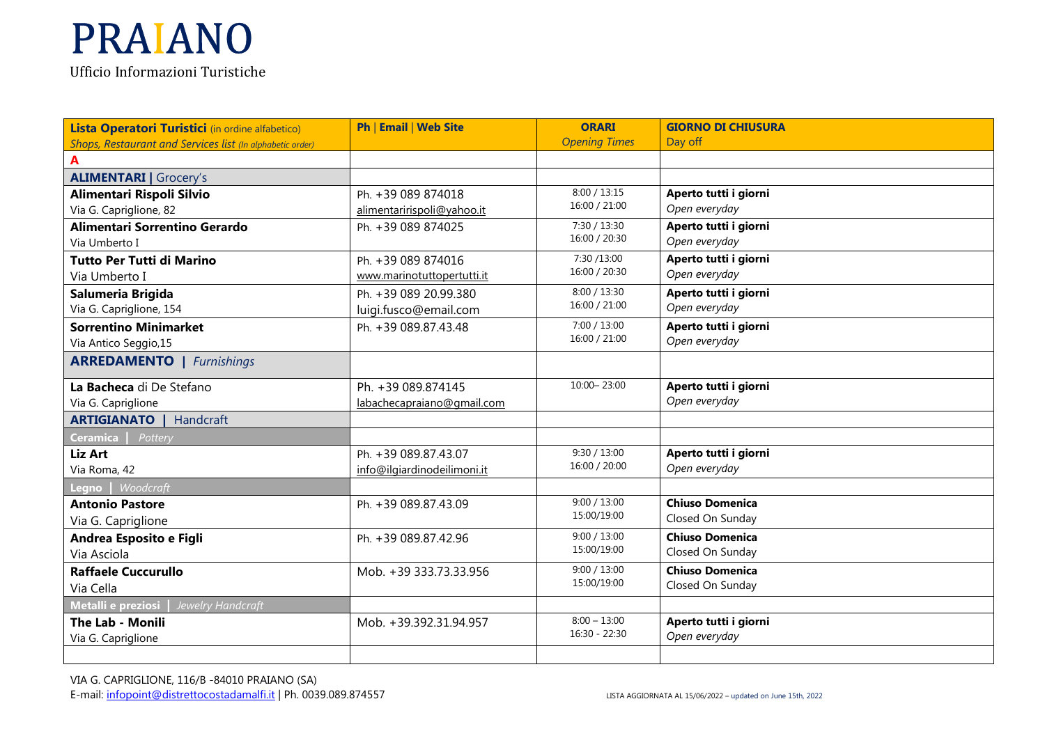| Lista Operatori Turistici (in ordine alfabetico)          | Ph   Email   Web Site       | <b>ORARI</b>         | <b>GIORNO DI CHIUSURA</b> |
|-----------------------------------------------------------|-----------------------------|----------------------|---------------------------|
| Shops, Restaurant and Services list (In alphabetic order) |                             | <b>Opening Times</b> | Day off                   |
| A                                                         |                             |                      |                           |
| <b>ALIMENTARI</b>   Grocery's                             |                             |                      |                           |
| Alimentari Rispoli Silvio                                 | Ph. +39 089 874018          | 8:00 / 13:15         | Aperto tutti i giorni     |
| Via G. Capriglione, 82                                    | alimentaririspoli@yahoo.it  | 16:00 / 21:00        | Open everyday             |
| Alimentari Sorrentino Gerardo                             | Ph. +39 089 874025          | 7:30 / 13:30         | Aperto tutti i giorni     |
| Via Umberto I                                             |                             | 16:00 / 20:30        | Open everyday             |
| <b>Tutto Per Tutti di Marino</b>                          | Ph. +39 089 874016          | 7:30 /13:00          | Aperto tutti i giorni     |
| Via Umberto I                                             | www.marinotuttopertutti.it  | 16:00 / 20:30        | Open everyday             |
| Salumeria Brigida                                         | Ph. +39 089 20.99.380       | 8:00 / 13:30         | Aperto tutti i giorni     |
| Via G. Capriglione, 154                                   | luigi.fusco@email.com       | 16:00 / 21:00        | Open everyday             |
| <b>Sorrentino Minimarket</b>                              | Ph. +39 089.87.43.48        | 7:00 / 13:00         | Aperto tutti i giorni     |
| Via Antico Seggio, 15                                     |                             | 16:00 / 21:00        | Open everyday             |
| <b>ARREDAMENTO</b>   Furnishings                          |                             |                      |                           |
| La Bacheca di De Stefano                                  | Ph. +39 089.874145          | 10:00 - 23:00        | Aperto tutti i giorni     |
| Via G. Capriglione                                        | labachecapraiano@gmail.com  |                      | Open everyday             |
| <b>ARTIGIANATO</b><br>Handcraft                           |                             |                      |                           |
| <b>Ceramica</b><br>Pottery                                |                             |                      |                           |
| Liz Art                                                   | Ph. +39 089.87.43.07        | 9:30 / 13:00         | Aperto tutti i giorni     |
| Via Roma, 42                                              | info@ilgiardinodeilimoni.it | 16:00 / 20:00        | Open everyday             |
| Woodcraft<br>$L$ egno                                     |                             |                      |                           |
| <b>Antonio Pastore</b>                                    | Ph. +39 089.87.43.09        | 9:00 / 13:00         | <b>Chiuso Domenica</b>    |
| Via G. Capriglione                                        |                             | 15:00/19:00          | Closed On Sunday          |
| Andrea Esposito e Figli                                   | Ph. +39 089.87.42.96        | 9:00 / 13:00         | <b>Chiuso Domenica</b>    |
| Via Asciola                                               |                             | 15:00/19:00          | Closed On Sunday          |
| <b>Raffaele Cuccurullo</b>                                | Mob. +39 333.73.33.956      | 9:00 / 13:00         | <b>Chiuso Domenica</b>    |
| Via Cella                                                 |                             | 15:00/19:00          | Closed On Sunday          |
| Metalli e preziosi<br>Jewelry Handcraft                   |                             |                      |                           |
| The Lab - Monili                                          | Mob. +39.392.31.94.957      | $8:00 - 13:00$       | Aperto tutti i giorni     |
| Via G. Capriglione                                        |                             | $16:30 - 22:30$      | Open everyday             |
|                                                           |                             |                      |                           |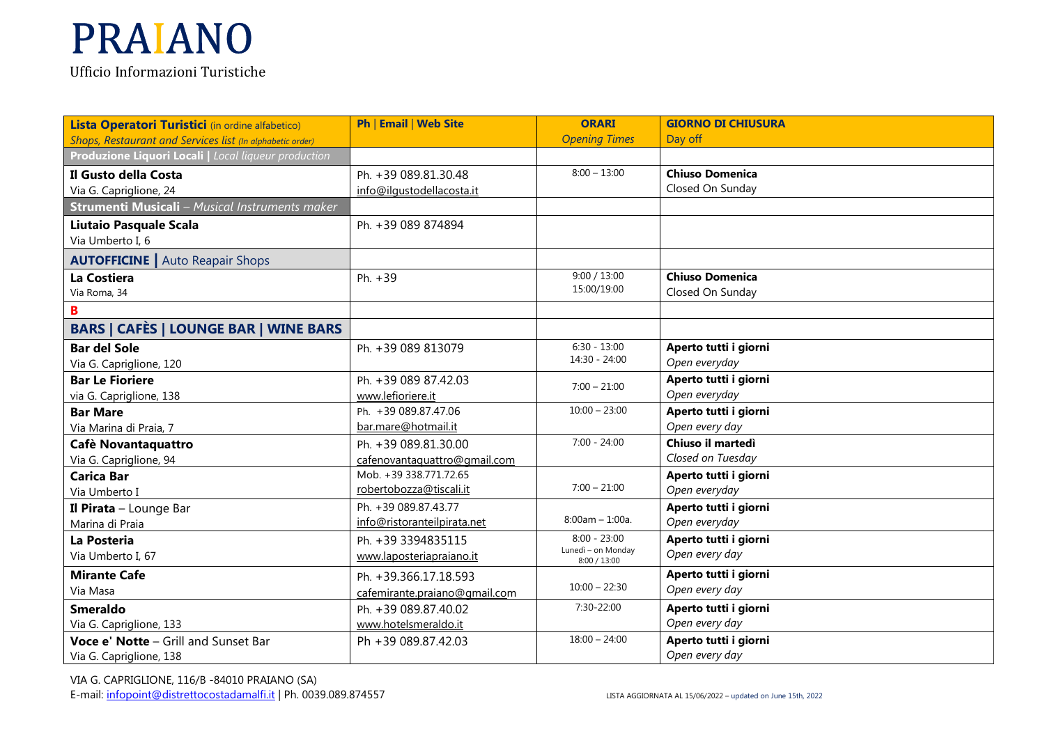**Lista Operatori Turistici** (in ordine alfabetico) *Shops, Restaurant and Services list (In alphabetic order)* **Ph** | **Email** | **Web Site Locali** *| Local liqueur production*Ph. +39 089.81.30.48

| Shops, Restaurant and Services list (In alphabetic order) |                               | <b>Opening Times</b>                 | Day off                |
|-----------------------------------------------------------|-------------------------------|--------------------------------------|------------------------|
| Produzione Liquori Locali   Local liqueur production      |                               |                                      |                        |
| Il Gusto della Costa                                      | Ph. +39 089.81.30.48          | $8:00 - 13:00$                       | <b>Chiuso Domenica</b> |
| Via G. Capriglione, 24                                    | info@ilqustodellacosta.it     |                                      | Closed On Sunday       |
| <b>Strumenti Musicali</b> - Musical Instruments maker     |                               |                                      |                        |
| <b>Liutaio Pasquale Scala</b>                             | Ph. +39 089 874894            |                                      |                        |
| Via Umberto I, 6                                          |                               |                                      |                        |
| <b>AUTOFFICINE</b>   Auto Reapair Shops                   |                               |                                      |                        |
| La Costiera                                               | Ph. +39                       | 9:00 / 13:00                         | <b>Chiuso Domenica</b> |
| Via Roma, 34                                              |                               | 15:00/19:00                          | Closed On Sunday       |
| B                                                         |                               |                                      |                        |
| <b>BARS   CAFÈS   LOUNGE BAR   WINE BARS</b>              |                               |                                      |                        |
| <b>Bar del Sole</b>                                       | Ph. +39 089 813079            | $6:30 - 13:00$                       | Aperto tutti i giorni  |
| Via G. Capriglione, 120                                   |                               | 14:30 - 24:00                        | Open everyday          |
| <b>Bar Le Fioriere</b>                                    | Ph. +39 089 87.42.03          | $7:00 - 21:00$                       | Aperto tutti i giorni  |
| via G. Capriglione, 138                                   | www.lefioriere.it             |                                      | Open everyday          |
| <b>Bar Mare</b>                                           | Ph. +39 089.87.47.06          | $10:00 - 23:00$                      | Aperto tutti i giorni  |
| Via Marina di Praia, 7                                    | bar.mare@hotmail.it           |                                      | Open every day         |
| Cafè Novantaquattro                                       | Ph. +39 089.81.30.00          | $7:00 - 24:00$                       | Chiuso il martedì      |
| Via G. Capriglione, 94                                    | cafenovantaquattro@gmail.com  |                                      | Closed on Tuesday      |
| <b>Carica Bar</b>                                         | Mob. +39 338.771.72.65        |                                      | Aperto tutti i giorni  |
| Via Umberto I                                             | robertobozza@tiscali.it       | $7:00 - 21:00$                       | Open everyday          |
| Il Pirata - Lounge Bar                                    | Ph. +39 089.87.43.77          |                                      | Aperto tutti i giorni  |
| Marina di Praia                                           | info@ristoranteilpirata.net   | $8:00am - 1:00a$ .                   | Open everyday          |
| La Posteria                                               | Ph. +39 3394835115            | $8:00 - 23:00$<br>Lunedì - on Monday | Aperto tutti i giorni  |
| Via Umberto I, 67                                         | www.laposteriapraiano.it      | 8:00 / 13:00                         | Open every day         |
| <b>Mirante Cafe</b>                                       | Ph. +39.366.17.18.593         |                                      | Aperto tutti i giorni  |
| Via Masa                                                  | cafemirante.praiano@gmail.com | $10:00 - 22:30$                      | Open every day         |
| <b>Smeraldo</b>                                           | Ph. +39 089.87.40.02          | 7:30-22:00                           | Aperto tutti i giorni  |
| Via G. Capriglione, 133                                   | www.hotelsmeraldo.it          |                                      | Open every day         |
| Voce e' Notte - Grill and Sunset Bar                      | Ph +39 089.87.42.03           | $18:00 - 24:00$                      | Aperto tutti i giorni  |
| Via G. Capriglione, 138                                   |                               |                                      | Open every day         |

**ORARI** 

**GIORNO DI CHIUSURA** 

Day off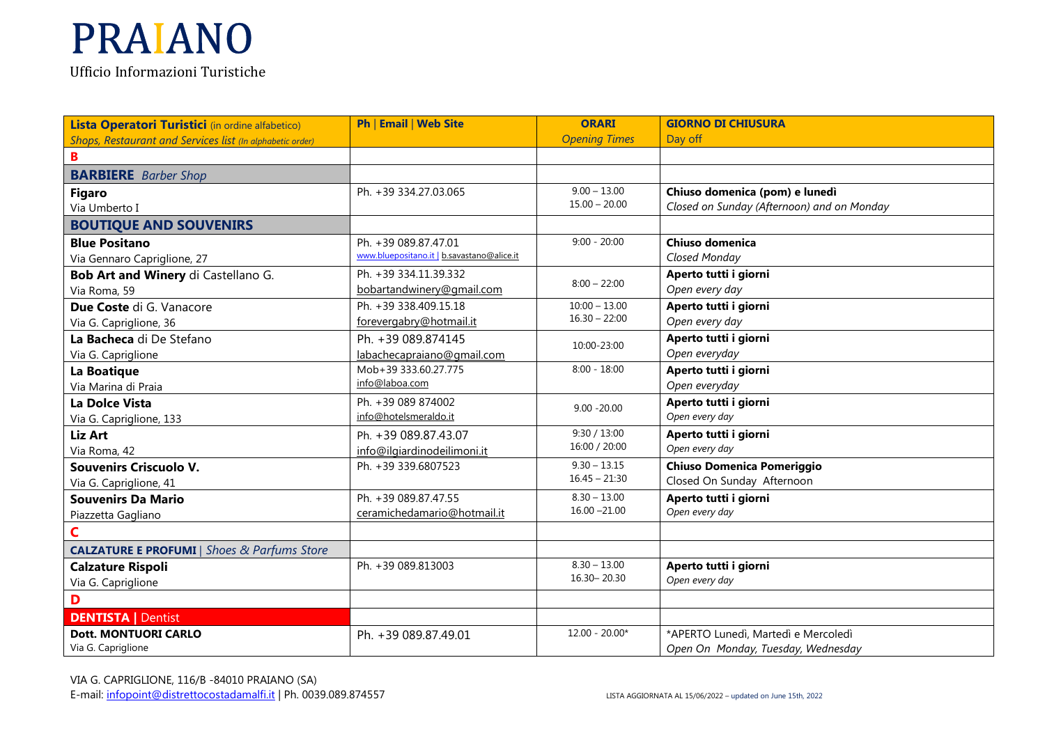| Lista Operatori Turistici (in ordine alfabetico)          | Ph   Email   Web Site                      | <b>ORARI</b>         | <b>GIORNO DI CHIUSURA</b>                  |
|-----------------------------------------------------------|--------------------------------------------|----------------------|--------------------------------------------|
| Shops, Restaurant and Services list (In alphabetic order) |                                            | <b>Opening Times</b> | Day off                                    |
| B                                                         |                                            |                      |                                            |
| <b>BARBIERE</b> Barber Shop                               |                                            |                      |                                            |
| <b>Figaro</b>                                             | Ph. +39 334.27.03.065                      | $9.00 - 13.00$       | Chiuso domenica (pom) e lunedì             |
| Via Umberto I                                             |                                            | $15.00 - 20.00$      | Closed on Sunday (Afternoon) and on Monday |
| <b>BOUTIQUE AND SOUVENIRS</b>                             |                                            |                      |                                            |
| <b>Blue Positano</b>                                      | Ph. +39 089.87.47.01                       | $9:00 - 20:00$       | Chiuso domenica                            |
| Via Gennaro Capriglione, 27                               | www.bluepositano.it   b.savastano@alice.it |                      | Closed Monday                              |
| Bob Art and Winery di Castellano G.                       | Ph. +39 334.11.39.332                      |                      | Aperto tutti i giorni                      |
| Via Roma, 59                                              | bobartandwinery@gmail.com                  | $8:00 - 22:00$       | Open every day                             |
| Due Coste di G. Vanacore                                  | Ph. +39 338.409.15.18                      | $10:00 - 13.00$      | Aperto tutti i giorni                      |
| Via G. Capriglione, 36                                    | forevergabry@hotmail.it                    | $16.30 - 22:00$      | Open every day                             |
| La Bacheca di De Stefano                                  | Ph. +39 089.874145                         | 10:00-23:00          | Aperto tutti i giorni                      |
| Via G. Capriglione                                        | labachecapraiano@gmail.com                 |                      | Open everyday                              |
| La Boatique                                               | Mob+39 333.60.27.775                       | $8:00 - 18:00$       | Aperto tutti i giorni                      |
| Via Marina di Praia                                       | info@laboa.com                             |                      | Open everyday                              |
| La Dolce Vista                                            | Ph. +39 089 874002                         | $9.00 - 20.00$       | Aperto tutti i giorni                      |
| Via G. Capriglione, 133                                   | info@hotelsmeraldo.it                      |                      | Open every day                             |
| <b>Liz Art</b>                                            | Ph. +39 089.87.43.07                       | 9:30 / 13:00         | Aperto tutti i giorni                      |
| Via Roma, 42                                              | info@ilgiardinodeilimoni.it                | 16:00 / 20:00        | Open every day                             |
| Souvenirs Criscuolo V.                                    | Ph. +39 339.6807523                        | $9.30 - 13.15$       | <b>Chiuso Domenica Pomeriggio</b>          |
| Via G. Capriglione, 41                                    |                                            | $16.45 - 21:30$      | Closed On Sunday Afternoon                 |
| <b>Souvenirs Da Mario</b>                                 | Ph. +39 089.87.47.55                       | $8.30 - 13.00$       | Aperto tutti i giorni                      |
| Piazzetta Gagliano                                        | ceramichedamario@hotmail.it                | $16.00 - 21.00$      | Open every day                             |
| C                                                         |                                            |                      |                                            |
| <b>CALZATURE E PROFUMI   Shoes &amp; Parfums Store</b>    |                                            |                      |                                            |
| <b>Calzature Rispoli</b>                                  | Ph. +39 089.813003                         | $8.30 - 13.00$       | Aperto tutti i giorni                      |
| Via G. Capriglione                                        |                                            | 16.30 - 20.30        | Open every day                             |
| D                                                         |                                            |                      |                                            |
| <b>DENTISTA   Dentist</b>                                 |                                            |                      |                                            |
| <b>Dott. MONTUORI CARLO</b>                               | Ph. +39 089.87.49.01                       | $12.00 - 20.00*$     | *APERTO Lunedì, Martedì e Mercoledì        |
| Via G. Capriglione                                        |                                            |                      | Open On Monday, Tuesday, Wednesday         |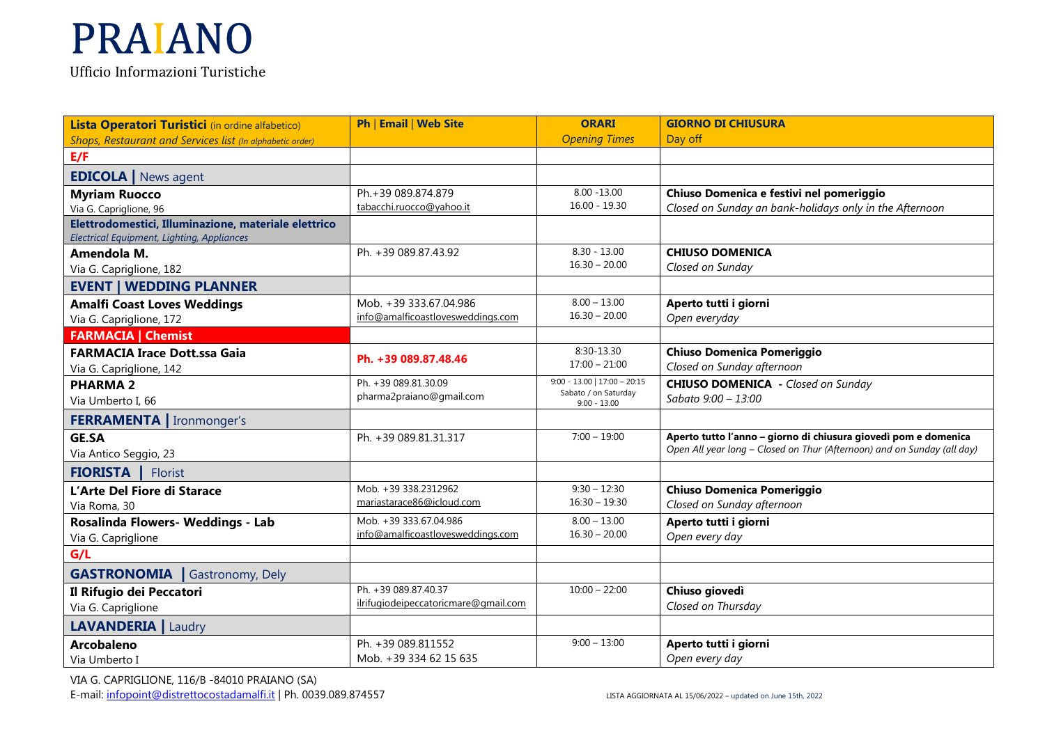**Lista Operatori Turistici** (in ordine alfabetico) *Shops, Restaurant and Services list (In alphabetic order)* **Ph** | **Email** | **Web Site ORARI**  *Opening Times***GIORNO DI CHIUSURA** Day off**E/F EDICOLA |** News agent **Myriam Ruocco** Via G. Capriglione, 96 **Elettrodomestici, Illuminazione, materiale elettrico** Ph.+39 089.874.879 tabacchi.ruocco@yahoo.it 8.00 -13.00 16.00 - 19.30 **Chiuso Domenica e festivi nel pomeriggio** *Closed on Sunday an bank-holidays only in the Afternoon Electrical Equipment, Lighting, Appliances***Amendola M.** Via G. Capriglione, 182 **EVENT | WEDDING PLANNER** Ph.  $+39.089.87.43.92$  8.30 - 13.00 16.30 – 20.00 **CHIUSO DOMENICA** *Closed on Sunday* **Amalfi Coast Loves Weddings**Via G. Capriglione, 172 **FARMACIA | Chemist**Mob. +39 333.67.04.986 info@amalficoastlovesweddings.com  $8.00 - 13.00$  16.30 – 20.00 **Aperto tutti i giorni** *Open everyday* **FARMACIA Irace Dott.ssa Gaia**Via G. Capriglione, 142**Ph. +39 089.87.48.46** 8:30-13.30 17:00 – 21:00 **Chiuso Domenica Pomeriggio** *Closed on Sunday afternoon* **PHARMA 2** Via Umberto I, 66 Ph. +39 089.81.30.09 pharma2praiano@gmail.com9:00 - 13.00 | 17:00 – 20:15 Sabato / on Saturday 9:00 - 13.00**CHIUSO DOMENICA -** *Closed on Sunday Sabato 9:00 – 13:00***FERRAMENTA |** Ironmonger's **GE.SA** Via Antico Seggio, 23Ph. +39 089.81.31.317 7:00 – 19:00 **Aperto tutto l'anno – giorno di chiusura giovedì pom e domenica** *Open All year long – Closed on Thur (Afternoon) and on Sunday (all day)***FIORISTA |** Florist **L'Arte Del Fiore di Starace**Via Roma, 30 Mob. +39 338.2312962 mariastarace86@icloud.com 9:30 – 12:30 16:30 – 19:30 **Chiuso Domenica Pomeriggio** *Closed on Sunday afternoon* **Rosalinda Flowers- Weddings - Lab** Via G. CapriglioneMob. +39 333.67.04.986 info@amalficoastlovesweddings.com8.00 – 13.00 16.30 – 20.00 **Aperto tutti i giorni**  *Open every day* **G/LGASTRONOMIA |** Gastronomy, Dely **Il Rifugio dei Peccatori**Via G. CapriglionePh. +39 089.87.40.37 ilrifugiodeipeccatoricmare@gmail.com 10:00 – 22:00 **Chiuso <sup>g</sup>iovedì** *Closed on Thursday* **LAVANDERIA |** Laudry **Arcobaleno** Via Umberto IPh. +39 089.811552 Mob. +39 334 62 15 635 9:00 – 13:00 **Aperto tutti i giorni** *Open every day*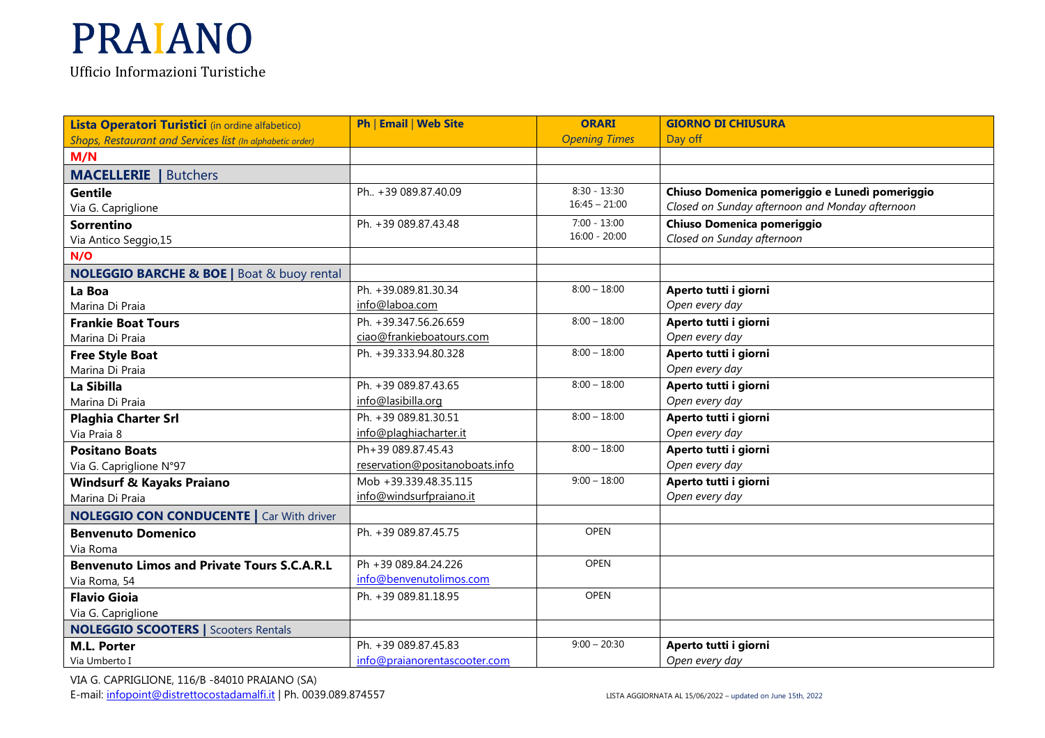Ufficio Informazioni Turistiche

| Lista Operatori Turistici (in ordine alfabetico)          | <b>Ph   Email   Web Site</b>   | <b>ORARI</b>         | <b>GIORNO DI CHIUSURA</b>                       |
|-----------------------------------------------------------|--------------------------------|----------------------|-------------------------------------------------|
| Shops, Restaurant and Services list (In alphabetic order) |                                | <b>Opening Times</b> | Day off                                         |
| M/N                                                       |                                |                      |                                                 |
| <b>MACELLERIE</b>   Butchers                              |                                |                      |                                                 |
| <b>Gentile</b>                                            | Ph., +39 089.87.40.09          | $8:30 - 13:30$       | Chiuso Domenica pomeriggio e Lunedì pomeriggio  |
| Via G. Capriglione                                        |                                | $16:45 - 21:00$      | Closed on Sunday afternoon and Monday afternoon |
| <b>Sorrentino</b>                                         | Ph. +39 089.87.43.48           | $7:00 - 13:00$       | Chiuso Domenica pomeriggio                      |
| Via Antico Seggio, 15                                     |                                | $16:00 - 20:00$      | Closed on Sunday afternoon                      |
| N/O                                                       |                                |                      |                                                 |
| <b>NOLEGGIO BARCHE &amp; BOE   Boat &amp; buoy rental</b> |                                |                      |                                                 |
| La Boa                                                    | Ph. +39.089.81.30.34           | $8:00 - 18:00$       | Aperto tutti i giorni                           |
| Marina Di Praia                                           | info@laboa.com                 |                      | Open every day                                  |
| <b>Frankie Boat Tours</b>                                 | Ph. +39.347.56.26.659          | $8:00 - 18:00$       | Aperto tutti i giorni                           |
| Marina Di Praia                                           | ciao@frankieboatours.com       |                      | Open every day                                  |
| <b>Free Style Boat</b>                                    | Ph. +39.333.94.80.328          | $8:00 - 18:00$       | Aperto tutti i giorni                           |
| Marina Di Praia                                           |                                |                      | Open every day                                  |
| La Sibilla                                                | Ph. +39 089.87.43.65           | $8:00 - 18:00$       | Aperto tutti i giorni                           |
| Marina Di Praia                                           | info@lasibilla.org             |                      | Open every day                                  |
| <b>Plaghia Charter Srl</b>                                | Ph. +39 089.81.30.51           | $8:00 - 18:00$       | Aperto tutti i giorni                           |
| Via Praia 8                                               | info@plaghiacharter.it         |                      | Open every day                                  |
| <b>Positano Boats</b>                                     | Ph+39 089.87.45.43             | $8:00 - 18:00$       | Aperto tutti i giorni                           |
| Via G. Capriglione N°97                                   | reservation@positanoboats.info |                      | Open every day                                  |
| <b>Windsurf &amp; Kayaks Praiano</b>                      | Mob +39.339.48.35.115          | $9:00 - 18:00$       | Aperto tutti i giorni                           |
| Marina Di Praia                                           | info@windsurfpraiano.it        |                      | Open every day                                  |
| <b>NOLEGGIO CON CONDUCENTE</b>   Car With driver          |                                |                      |                                                 |
| <b>Benvenuto Domenico</b>                                 | Ph. +39 089.87.45.75           | OPEN                 |                                                 |
| Via Roma                                                  |                                |                      |                                                 |
| <b>Benvenuto Limos and Private Tours S.C.A.R.L</b>        | Ph +39 089.84.24.226           | <b>OPEN</b>          |                                                 |
| Via Roma, 54                                              | info@benvenutolimos.com        |                      |                                                 |
| <b>Flavio Gioia</b>                                       | Ph. +39 089.81.18.95           | <b>OPEN</b>          |                                                 |
| Via G. Capriglione                                        |                                |                      |                                                 |
| <b>NOLEGGIO SCOOTERS   Scooters Rentals</b>               |                                |                      |                                                 |
| <b>M.L. Porter</b>                                        | Ph. +39 089.87.45.83           | $9:00 - 20:30$       | Aperto tutti i giorni                           |
| Via Umberto I                                             | info@praianorentascooter.com   |                      | Open every day                                  |

VIA G. CAPRIGLIONE, 116/B -84010 PRAIANO (SA) E-mail: <u>infopoint@distrettocostadamalfi.it</u> | Ph. 0039.089.874557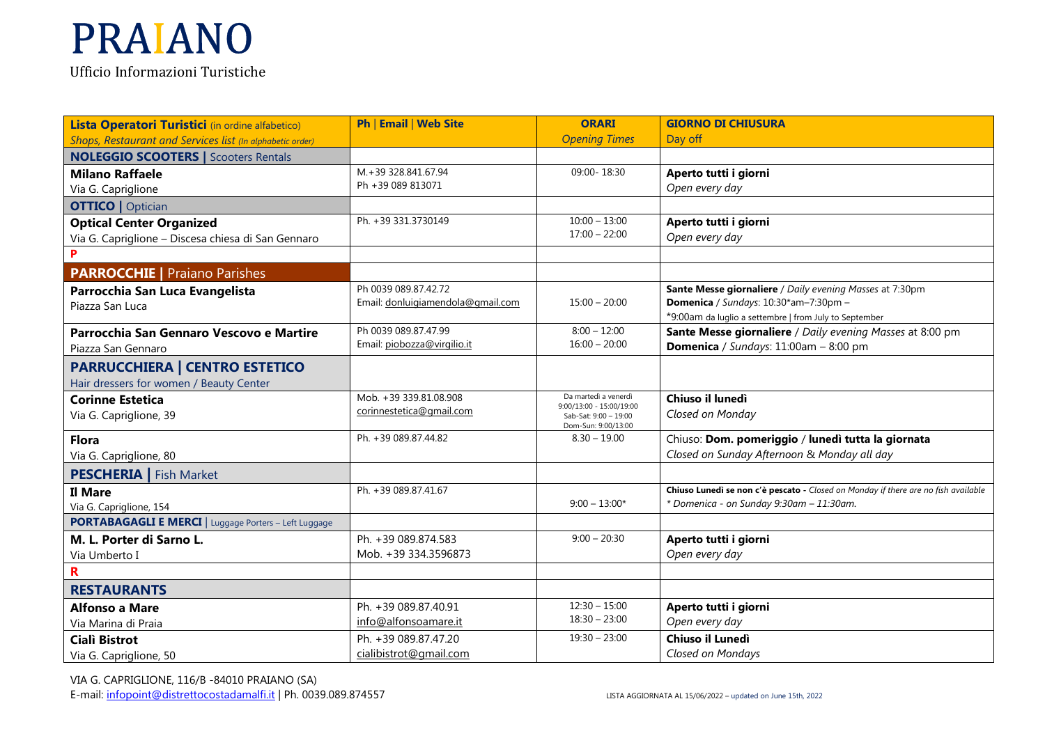| Lista Operatori Turistici (in ordine alfabetico)             | Ph   Email   Web Site             | <b>ORARI</b>                                     | <b>GIORNO DI CHIUSURA</b>                                                          |
|--------------------------------------------------------------|-----------------------------------|--------------------------------------------------|------------------------------------------------------------------------------------|
| Shops, Restaurant and Services list (In alphabetic order)    |                                   | <b>Opening Times</b>                             | Day off                                                                            |
| <b>NOLEGGIO SCOOTERS   Scooters Rentals</b>                  |                                   |                                                  |                                                                                    |
| <b>Milano Raffaele</b>                                       | M.+39 328.841.67.94               | 09:00-18:30                                      | Aperto tutti i giorni                                                              |
| Via G. Capriglione                                           | Ph +39 089 813071                 |                                                  | Open every day                                                                     |
| <b>OTTICO</b>   Optician                                     |                                   |                                                  |                                                                                    |
| <b>Optical Center Organized</b>                              | Ph. +39 331.3730149               | $10:00 - 13:00$                                  | Aperto tutti i giorni                                                              |
| Via G. Capriglione - Discesa chiesa di San Gennaro           |                                   | $17:00 - 22:00$                                  | Open every day                                                                     |
|                                                              |                                   |                                                  |                                                                                    |
| <b>PARROCCHIE   Praiano Parishes</b>                         |                                   |                                                  |                                                                                    |
| Parrocchia San Luca Evangelista                              | Ph 0039 089.87.42.72              |                                                  | Sante Messe giornaliere / Daily evening Masses at 7:30pm                           |
| Piazza San Luca                                              | Email: donluigiamendola@gmail.com | $15:00 - 20:00$                                  | Domenica / Sundays: 10:30*am-7:30pm -                                              |
|                                                              |                                   |                                                  | *9:00am da luglio a settembre   from July to September                             |
| Parrocchia San Gennaro Vescovo e Martire                     | Ph 0039 089.87.47.99              | $8:00 - 12:00$                                   | Sante Messe giornaliere / Daily evening Masses at 8:00 pm                          |
| Piazza San Gennaro                                           | Email: piobozza@virgilio.it       | $16:00 - 20:00$                                  | Domenica / Sundays: 11:00am - 8:00 pm                                              |
| <b>PARRUCCHIERA   CENTRO ESTETICO</b>                        |                                   |                                                  |                                                                                    |
| Hair dressers for women / Beauty Center                      |                                   |                                                  |                                                                                    |
| <b>Corinne Estetica</b>                                      | Mob. +39 339.81.08.908            | Da martedì a venerdì<br>9:00/13:00 - 15:00/19:00 | Chiuso il lunedì                                                                   |
| Via G. Capriglione, 39                                       | corinnestetica@gmail.com          | Sab-Sat: 9:00 - 19:00                            | Closed on Monday                                                                   |
|                                                              |                                   | Dom-Sun: 9:00/13:00                              |                                                                                    |
| <b>Flora</b>                                                 | Ph. +39 089.87.44.82              | $8.30 - 19.00$                                   | Chiuso: Dom. pomeriggio / lunedì tutta la giornata                                 |
| Via G. Capriglione, 80                                       |                                   |                                                  | Closed on Sunday Afternoon & Monday all day                                        |
| <b>PESCHERIA</b>   Fish Market                               |                                   |                                                  |                                                                                    |
| Il Mare                                                      | Ph. +39 089.87.41.67              |                                                  | Chiuso Lunedì se non c'è pescato - Closed on Monday if there are no fish available |
| Via G. Capriglione, 154                                      |                                   | $9:00 - 13:00*$                                  | * Domenica - on Sunday 9:30am - 11:30am.                                           |
| <b>PORTABAGAGLI E MERCI   Luggage Porters - Left Luggage</b> |                                   |                                                  |                                                                                    |
| M. L. Porter di Sarno L.                                     | Ph. +39 089.874.583               | $9:00 - 20:30$                                   | Aperto tutti i giorni                                                              |
| Via Umberto I                                                | Mob. +39 334.3596873              |                                                  | Open every day                                                                     |
| $\mathbf R$                                                  |                                   |                                                  |                                                                                    |
| <b>RESTAURANTS</b>                                           |                                   |                                                  |                                                                                    |
| <b>Alfonso a Mare</b>                                        | Ph. +39 089.87.40.91              | $12:30 - 15:00$                                  | Aperto tutti i giorni                                                              |
| Via Marina di Praia                                          | info@alfonsoamare.it              | $18:30 - 23:00$                                  | Open every day                                                                     |
| <b>Ciali Bistrot</b>                                         | Ph. +39 089.87.47.20              | $19:30 - 23:00$                                  | Chiuso il Lunedì                                                                   |
| Via G. Capriglione, 50                                       | cialibistrot@gmail.com            |                                                  | Closed on Mondays                                                                  |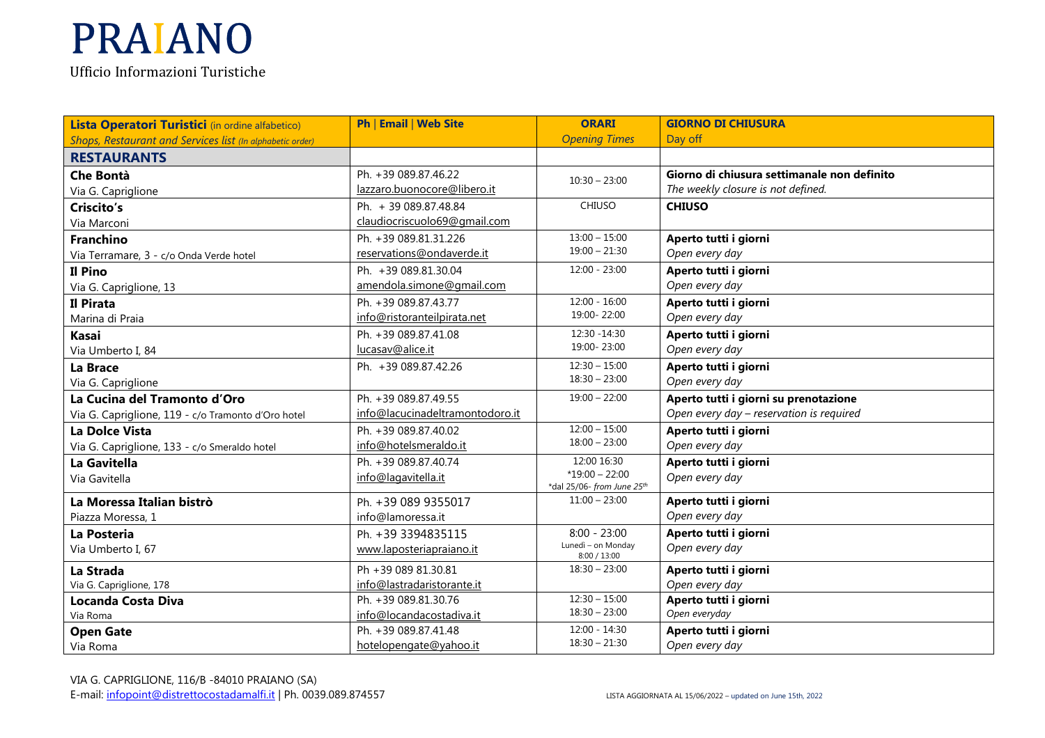| <b>Opening Times</b><br>Day off<br>Shops, Restaurant and Services list (In alphabetic order)<br><b>RESTAURANTS</b><br>Ph. +39 089.87.46.22<br>Giorno di chiusura settimanale non definito<br><b>Che Bontà</b><br>$10:30 - 23:00$<br>lazzaro.buonocore@libero.it<br>The weekly closure is not defined.<br>Via G. Capriglione<br><b>CHIUSO</b><br>Ph. + 39 089.87.48.84<br><b>CHIUSO</b><br>Criscito's<br>claudiocriscuolo69@gmail.com<br>Via Marconi<br>$13:00 - 15:00$<br>Ph. +39 089.81.31.226<br>Aperto tutti i giorni<br><b>Franchino</b><br>$19:00 - 21:30$<br>Open every day<br>reservations@ondaverde.it<br>Via Terramare, 3 - c/o Onda Verde hotel<br>$12:00 - 23:00$<br>Il Pino<br>Ph. +39 089.81.30.04<br>Aperto tutti i giorni<br>amendola.simone@gmail.com<br>Open every day<br>Via G. Capriglione, 13<br>$12:00 - 16:00$<br>Ph. +39 089.87.43.77<br>Aperto tutti i giorni<br>Il Pirata<br>19:00-22:00<br>Open every day<br>info@ristoranteilpirata.net<br>Marina di Praia<br>12:30 - 14:30<br>Ph. +39 089.87.41.08<br>Aperto tutti i giorni<br><b>Kasai</b><br>19:00-23:00<br>Open every day<br>lucasav@alice.it<br>Via Umberto I, 84<br>$12:30 - 15:00$<br>Ph. +39 089.87.42.26<br>Aperto tutti i giorni<br>La Brace<br>$18:30 - 23:00$<br>Open every day<br>Via G. Capriglione<br>Ph. +39 089.87.49.55<br>$19:00 - 22:00$<br>Aperto tutti i giorni su prenotazione<br>La Cucina del Tramonto d'Oro<br>info@lacucinadeltramontodoro.it<br>Open every day - reservation is required<br>Via G. Capriglione, 119 - c/o Tramonto d'Oro hotel<br>$12:00 - 15:00$<br>Ph. +39 089.87.40.02<br>Aperto tutti i giorni<br>La Dolce Vista<br>$18:00 - 23:00$<br>info@hotelsmeraldo.it<br>Open every day<br>Via G. Capriglione, 133 - c/o Smeraldo hotel<br>12:00 16:30<br>Ph. +39 089.87.40.74<br>Aperto tutti i giorni<br>La Gavitella<br>$*19:00 - 22:00$<br>info@lagavitella.it<br>Open every day<br>Via Gavitella<br>*dal 25/06- from June 25th<br>$11:00 - 23:00$<br>Aperto tutti i giorni<br>La Moressa Italian bistrò<br>Ph. +39 089 9355017<br>Open every day<br>info@lamoressa.it<br>Piazza Moressa, 1<br>$8:00 - 23:00$<br>Aperto tutti i giorni<br>Ph. +39 3394835115<br>La Posteria<br>Lunedì - on Monday<br>Open every day<br>Via Umberto I, 67<br>www.laposteriapraiano.it<br>8:00 / 13:00<br>$18:30 - 23:00$<br>Ph +39 089 81.30.81<br>Aperto tutti i giorni<br>La Strada<br>Open every day<br>info@lastradaristorante.it<br>Via G. Capriglione, 178<br>$12:30 - 15:00$<br>Ph. +39 089.81.30.76<br>Aperto tutti i giorni<br><b>Locanda Costa Diva</b> | Lista Operatori Turistici (in ordine alfabetico) | Ph   Email   Web Site    | <b>ORARI</b>    | <b>GIORNO DI CHIUSURA</b> |
|------------------------------------------------------------------------------------------------------------------------------------------------------------------------------------------------------------------------------------------------------------------------------------------------------------------------------------------------------------------------------------------------------------------------------------------------------------------------------------------------------------------------------------------------------------------------------------------------------------------------------------------------------------------------------------------------------------------------------------------------------------------------------------------------------------------------------------------------------------------------------------------------------------------------------------------------------------------------------------------------------------------------------------------------------------------------------------------------------------------------------------------------------------------------------------------------------------------------------------------------------------------------------------------------------------------------------------------------------------------------------------------------------------------------------------------------------------------------------------------------------------------------------------------------------------------------------------------------------------------------------------------------------------------------------------------------------------------------------------------------------------------------------------------------------------------------------------------------------------------------------------------------------------------------------------------------------------------------------------------------------------------------------------------------------------------------------------------------------------------------------------------------------------------------------------------------------------------------------------------------------------------------------------------------------------------------------------------------------------------------------------------------------------------------------------------------------------------------------------------------------------------------------------------------------------------------|--------------------------------------------------|--------------------------|-----------------|---------------------------|
|                                                                                                                                                                                                                                                                                                                                                                                                                                                                                                                                                                                                                                                                                                                                                                                                                                                                                                                                                                                                                                                                                                                                                                                                                                                                                                                                                                                                                                                                                                                                                                                                                                                                                                                                                                                                                                                                                                                                                                                                                                                                                                                                                                                                                                                                                                                                                                                                                                                                                                                                                                        |                                                  |                          |                 |                           |
|                                                                                                                                                                                                                                                                                                                                                                                                                                                                                                                                                                                                                                                                                                                                                                                                                                                                                                                                                                                                                                                                                                                                                                                                                                                                                                                                                                                                                                                                                                                                                                                                                                                                                                                                                                                                                                                                                                                                                                                                                                                                                                                                                                                                                                                                                                                                                                                                                                                                                                                                                                        |                                                  |                          |                 |                           |
|                                                                                                                                                                                                                                                                                                                                                                                                                                                                                                                                                                                                                                                                                                                                                                                                                                                                                                                                                                                                                                                                                                                                                                                                                                                                                                                                                                                                                                                                                                                                                                                                                                                                                                                                                                                                                                                                                                                                                                                                                                                                                                                                                                                                                                                                                                                                                                                                                                                                                                                                                                        |                                                  |                          |                 |                           |
|                                                                                                                                                                                                                                                                                                                                                                                                                                                                                                                                                                                                                                                                                                                                                                                                                                                                                                                                                                                                                                                                                                                                                                                                                                                                                                                                                                                                                                                                                                                                                                                                                                                                                                                                                                                                                                                                                                                                                                                                                                                                                                                                                                                                                                                                                                                                                                                                                                                                                                                                                                        |                                                  |                          |                 |                           |
|                                                                                                                                                                                                                                                                                                                                                                                                                                                                                                                                                                                                                                                                                                                                                                                                                                                                                                                                                                                                                                                                                                                                                                                                                                                                                                                                                                                                                                                                                                                                                                                                                                                                                                                                                                                                                                                                                                                                                                                                                                                                                                                                                                                                                                                                                                                                                                                                                                                                                                                                                                        |                                                  |                          |                 |                           |
|                                                                                                                                                                                                                                                                                                                                                                                                                                                                                                                                                                                                                                                                                                                                                                                                                                                                                                                                                                                                                                                                                                                                                                                                                                                                                                                                                                                                                                                                                                                                                                                                                                                                                                                                                                                                                                                                                                                                                                                                                                                                                                                                                                                                                                                                                                                                                                                                                                                                                                                                                                        |                                                  |                          |                 |                           |
|                                                                                                                                                                                                                                                                                                                                                                                                                                                                                                                                                                                                                                                                                                                                                                                                                                                                                                                                                                                                                                                                                                                                                                                                                                                                                                                                                                                                                                                                                                                                                                                                                                                                                                                                                                                                                                                                                                                                                                                                                                                                                                                                                                                                                                                                                                                                                                                                                                                                                                                                                                        |                                                  |                          |                 |                           |
|                                                                                                                                                                                                                                                                                                                                                                                                                                                                                                                                                                                                                                                                                                                                                                                                                                                                                                                                                                                                                                                                                                                                                                                                                                                                                                                                                                                                                                                                                                                                                                                                                                                                                                                                                                                                                                                                                                                                                                                                                                                                                                                                                                                                                                                                                                                                                                                                                                                                                                                                                                        |                                                  |                          |                 |                           |
|                                                                                                                                                                                                                                                                                                                                                                                                                                                                                                                                                                                                                                                                                                                                                                                                                                                                                                                                                                                                                                                                                                                                                                                                                                                                                                                                                                                                                                                                                                                                                                                                                                                                                                                                                                                                                                                                                                                                                                                                                                                                                                                                                                                                                                                                                                                                                                                                                                                                                                                                                                        |                                                  |                          |                 |                           |
|                                                                                                                                                                                                                                                                                                                                                                                                                                                                                                                                                                                                                                                                                                                                                                                                                                                                                                                                                                                                                                                                                                                                                                                                                                                                                                                                                                                                                                                                                                                                                                                                                                                                                                                                                                                                                                                                                                                                                                                                                                                                                                                                                                                                                                                                                                                                                                                                                                                                                                                                                                        |                                                  |                          |                 |                           |
|                                                                                                                                                                                                                                                                                                                                                                                                                                                                                                                                                                                                                                                                                                                                                                                                                                                                                                                                                                                                                                                                                                                                                                                                                                                                                                                                                                                                                                                                                                                                                                                                                                                                                                                                                                                                                                                                                                                                                                                                                                                                                                                                                                                                                                                                                                                                                                                                                                                                                                                                                                        |                                                  |                          |                 |                           |
|                                                                                                                                                                                                                                                                                                                                                                                                                                                                                                                                                                                                                                                                                                                                                                                                                                                                                                                                                                                                                                                                                                                                                                                                                                                                                                                                                                                                                                                                                                                                                                                                                                                                                                                                                                                                                                                                                                                                                                                                                                                                                                                                                                                                                                                                                                                                                                                                                                                                                                                                                                        |                                                  |                          |                 |                           |
|                                                                                                                                                                                                                                                                                                                                                                                                                                                                                                                                                                                                                                                                                                                                                                                                                                                                                                                                                                                                                                                                                                                                                                                                                                                                                                                                                                                                                                                                                                                                                                                                                                                                                                                                                                                                                                                                                                                                                                                                                                                                                                                                                                                                                                                                                                                                                                                                                                                                                                                                                                        |                                                  |                          |                 |                           |
|                                                                                                                                                                                                                                                                                                                                                                                                                                                                                                                                                                                                                                                                                                                                                                                                                                                                                                                                                                                                                                                                                                                                                                                                                                                                                                                                                                                                                                                                                                                                                                                                                                                                                                                                                                                                                                                                                                                                                                                                                                                                                                                                                                                                                                                                                                                                                                                                                                                                                                                                                                        |                                                  |                          |                 |                           |
|                                                                                                                                                                                                                                                                                                                                                                                                                                                                                                                                                                                                                                                                                                                                                                                                                                                                                                                                                                                                                                                                                                                                                                                                                                                                                                                                                                                                                                                                                                                                                                                                                                                                                                                                                                                                                                                                                                                                                                                                                                                                                                                                                                                                                                                                                                                                                                                                                                                                                                                                                                        |                                                  |                          |                 |                           |
|                                                                                                                                                                                                                                                                                                                                                                                                                                                                                                                                                                                                                                                                                                                                                                                                                                                                                                                                                                                                                                                                                                                                                                                                                                                                                                                                                                                                                                                                                                                                                                                                                                                                                                                                                                                                                                                                                                                                                                                                                                                                                                                                                                                                                                                                                                                                                                                                                                                                                                                                                                        |                                                  |                          |                 |                           |
|                                                                                                                                                                                                                                                                                                                                                                                                                                                                                                                                                                                                                                                                                                                                                                                                                                                                                                                                                                                                                                                                                                                                                                                                                                                                                                                                                                                                                                                                                                                                                                                                                                                                                                                                                                                                                                                                                                                                                                                                                                                                                                                                                                                                                                                                                                                                                                                                                                                                                                                                                                        |                                                  |                          |                 |                           |
|                                                                                                                                                                                                                                                                                                                                                                                                                                                                                                                                                                                                                                                                                                                                                                                                                                                                                                                                                                                                                                                                                                                                                                                                                                                                                                                                                                                                                                                                                                                                                                                                                                                                                                                                                                                                                                                                                                                                                                                                                                                                                                                                                                                                                                                                                                                                                                                                                                                                                                                                                                        |                                                  |                          |                 |                           |
|                                                                                                                                                                                                                                                                                                                                                                                                                                                                                                                                                                                                                                                                                                                                                                                                                                                                                                                                                                                                                                                                                                                                                                                                                                                                                                                                                                                                                                                                                                                                                                                                                                                                                                                                                                                                                                                                                                                                                                                                                                                                                                                                                                                                                                                                                                                                                                                                                                                                                                                                                                        |                                                  |                          |                 |                           |
|                                                                                                                                                                                                                                                                                                                                                                                                                                                                                                                                                                                                                                                                                                                                                                                                                                                                                                                                                                                                                                                                                                                                                                                                                                                                                                                                                                                                                                                                                                                                                                                                                                                                                                                                                                                                                                                                                                                                                                                                                                                                                                                                                                                                                                                                                                                                                                                                                                                                                                                                                                        |                                                  |                          |                 |                           |
|                                                                                                                                                                                                                                                                                                                                                                                                                                                                                                                                                                                                                                                                                                                                                                                                                                                                                                                                                                                                                                                                                                                                                                                                                                                                                                                                                                                                                                                                                                                                                                                                                                                                                                                                                                                                                                                                                                                                                                                                                                                                                                                                                                                                                                                                                                                                                                                                                                                                                                                                                                        |                                                  |                          |                 |                           |
|                                                                                                                                                                                                                                                                                                                                                                                                                                                                                                                                                                                                                                                                                                                                                                                                                                                                                                                                                                                                                                                                                                                                                                                                                                                                                                                                                                                                                                                                                                                                                                                                                                                                                                                                                                                                                                                                                                                                                                                                                                                                                                                                                                                                                                                                                                                                                                                                                                                                                                                                                                        |                                                  |                          |                 |                           |
|                                                                                                                                                                                                                                                                                                                                                                                                                                                                                                                                                                                                                                                                                                                                                                                                                                                                                                                                                                                                                                                                                                                                                                                                                                                                                                                                                                                                                                                                                                                                                                                                                                                                                                                                                                                                                                                                                                                                                                                                                                                                                                                                                                                                                                                                                                                                                                                                                                                                                                                                                                        |                                                  |                          |                 |                           |
|                                                                                                                                                                                                                                                                                                                                                                                                                                                                                                                                                                                                                                                                                                                                                                                                                                                                                                                                                                                                                                                                                                                                                                                                                                                                                                                                                                                                                                                                                                                                                                                                                                                                                                                                                                                                                                                                                                                                                                                                                                                                                                                                                                                                                                                                                                                                                                                                                                                                                                                                                                        |                                                  |                          |                 |                           |
|                                                                                                                                                                                                                                                                                                                                                                                                                                                                                                                                                                                                                                                                                                                                                                                                                                                                                                                                                                                                                                                                                                                                                                                                                                                                                                                                                                                                                                                                                                                                                                                                                                                                                                                                                                                                                                                                                                                                                                                                                                                                                                                                                                                                                                                                                                                                                                                                                                                                                                                                                                        |                                                  |                          |                 |                           |
|                                                                                                                                                                                                                                                                                                                                                                                                                                                                                                                                                                                                                                                                                                                                                                                                                                                                                                                                                                                                                                                                                                                                                                                                                                                                                                                                                                                                                                                                                                                                                                                                                                                                                                                                                                                                                                                                                                                                                                                                                                                                                                                                                                                                                                                                                                                                                                                                                                                                                                                                                                        |                                                  |                          |                 |                           |
|                                                                                                                                                                                                                                                                                                                                                                                                                                                                                                                                                                                                                                                                                                                                                                                                                                                                                                                                                                                                                                                                                                                                                                                                                                                                                                                                                                                                                                                                                                                                                                                                                                                                                                                                                                                                                                                                                                                                                                                                                                                                                                                                                                                                                                                                                                                                                                                                                                                                                                                                                                        |                                                  |                          |                 |                           |
|                                                                                                                                                                                                                                                                                                                                                                                                                                                                                                                                                                                                                                                                                                                                                                                                                                                                                                                                                                                                                                                                                                                                                                                                                                                                                                                                                                                                                                                                                                                                                                                                                                                                                                                                                                                                                                                                                                                                                                                                                                                                                                                                                                                                                                                                                                                                                                                                                                                                                                                                                                        |                                                  |                          |                 |                           |
|                                                                                                                                                                                                                                                                                                                                                                                                                                                                                                                                                                                                                                                                                                                                                                                                                                                                                                                                                                                                                                                                                                                                                                                                                                                                                                                                                                                                                                                                                                                                                                                                                                                                                                                                                                                                                                                                                                                                                                                                                                                                                                                                                                                                                                                                                                                                                                                                                                                                                                                                                                        |                                                  |                          |                 |                           |
|                                                                                                                                                                                                                                                                                                                                                                                                                                                                                                                                                                                                                                                                                                                                                                                                                                                                                                                                                                                                                                                                                                                                                                                                                                                                                                                                                                                                                                                                                                                                                                                                                                                                                                                                                                                                                                                                                                                                                                                                                                                                                                                                                                                                                                                                                                                                                                                                                                                                                                                                                                        | Via Roma                                         | info@locandacostadiva.it | $18:30 - 23:00$ | Open everyday             |
| Ph. +39 089.87.41.48<br>$12:00 - 14:30$<br>Aperto tutti i giorni<br><b>Open Gate</b>                                                                                                                                                                                                                                                                                                                                                                                                                                                                                                                                                                                                                                                                                                                                                                                                                                                                                                                                                                                                                                                                                                                                                                                                                                                                                                                                                                                                                                                                                                                                                                                                                                                                                                                                                                                                                                                                                                                                                                                                                                                                                                                                                                                                                                                                                                                                                                                                                                                                                   |                                                  |                          |                 |                           |
| $18:30 - 21:30$<br>hotelopengate@yahoo.it<br>Open every day<br>Via Roma                                                                                                                                                                                                                                                                                                                                                                                                                                                                                                                                                                                                                                                                                                                                                                                                                                                                                                                                                                                                                                                                                                                                                                                                                                                                                                                                                                                                                                                                                                                                                                                                                                                                                                                                                                                                                                                                                                                                                                                                                                                                                                                                                                                                                                                                                                                                                                                                                                                                                                |                                                  |                          |                 |                           |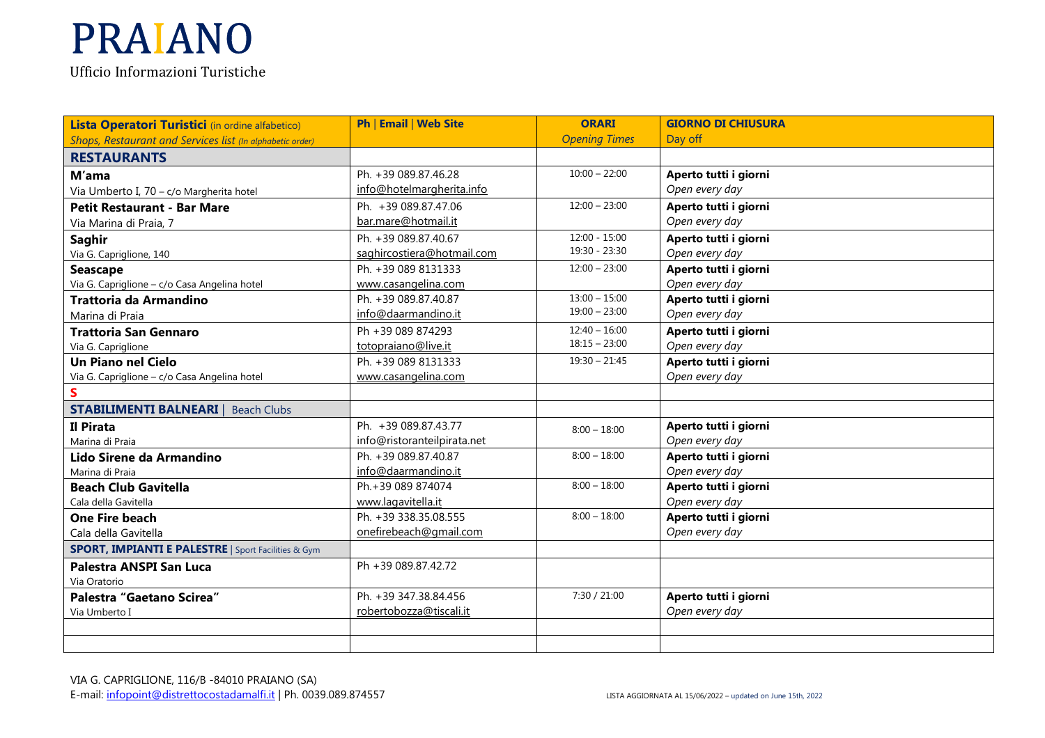**Lista Operatori Turistici** (in ordine alfabetico) *Shops, Restaurant and Services list (In alphabetic order)* **Ph** | **Email** | **Web Site ORARI**  *Opening Times***GIORNO DI CHIUSURA** Day off**RESTAURANTSM'ama** Via Umberto I, 70 – c/o Margherita hotelPh. +39 089.87.46.28 info@hotelmargherita.info 10:00 – 22:00 **Aperto tutti i giorni**  *Open every day***Petit Restaurant - Bar Mare** Via Marina di Praia, 7 Ph. +39 089.87.47.06 bar.mare@hotmail.it 12:00 – 23:00 **Aperto tutti i giorni** *Open every day* **Aperto tutti i giorni Saghir**  Via G. Capriglione, 140Ph. +39 089.87.40.67 saghircostiera@hotmail.com 12:00 - 15:00 19:30 - 23:30 *Open every day* **Seascape** Via G. Capriglione – c/o Casa Angelina hotelPh. +39 089 8131333 www.casangelina.com 12:00 – 23:00 **Aperto tutti i giorni** *Open every day* **Aperto tutti i giorni Trattoria da Armandino**Marina di Praia **Trattoria San Gennaro**Ph. +39 089.87.40.87 info@daarmandino.it 13:00 – 15:00 19:00 – 23:00 *Open every day* **Aperto tutti i giorni** Via G. Capriglione **Un Piano nel Cielo**Ph +39 089 874293 totopraiano@live.it Ph. +39 089 8131333  $12:40 - 16:00$  18:15 – 23:00 *Open every day*  Via G. Capriglione – c/o Casa Angelina hotelwww.casangelina.com 19:30 – 21:45 **Aperto tutti i giorni** *Open every day***S STABILIMENTI BALNEARI** | Beach Clubs**Il Pirata** Marina di Praia **Lido Sirene da Armandino**Ph. +39 089.87.43.77 info@ristoranteilpirata.net  $8:00 - 18:00$ **Aperto tutti i giorni** *Open every day* Marina di Praia **Beach Club Gavitella** Ph. +39 089.87.40.87 info@daarmandino.it  $8:00 - 18:00$  **Aperto tutti i giorni**  *Open every day*  8:00 – 18:00 **Aperto tutti i giorni** Cala della Gavitella **One Fire beach**Ph.+39 089 874074 www.lagavitella.it Ph. +39 338.35.08.555*Open every day*  – 18:00 **Aperto tutti i giorni**  Cala della Gavitella **SPORT, IMPIANTI E PALESTRE** | Sport Facilities & Gym onefirebeach@gmail.com  $8:00 - 18:00$ *Open every day* **Palestra ANSPI San Luca**Via Oratorio **Palestra "Gaetano Scirea"**Ph +39 089.87.42.72 Via Umberto IPh. +39 347.38.84.456 robertobozza@tiscali.it 7:30 / 21:00 **Aperto tutti i giorni** *Open every day*